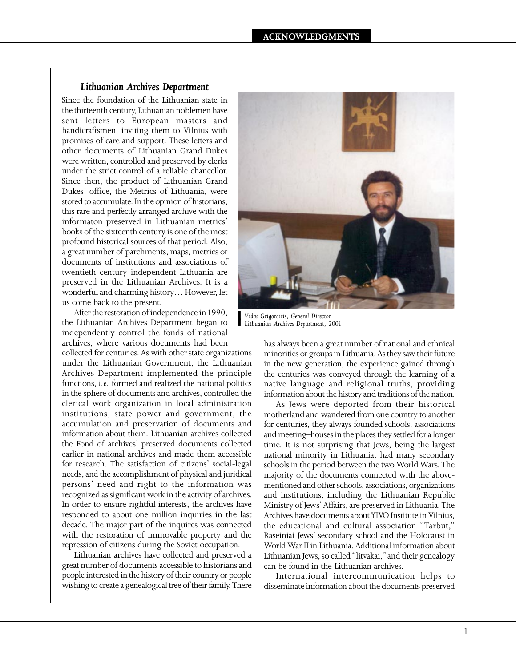## *Lithuanian Archives Department*

Since the foundation of the Lithuanian state in the thirteenth century, Lithuanian noblemen have sent letters to European masters and handicraftsmen, inviting them to Vilnius with promises of care and support. These letters and other documents of Lithuanian Grand Dukes were written, controlled and preserved by clerks under the strict control of a reliable chancellor. Since then, the product of Lithuanian Grand Dukes' office, the Metrics of Lithuania, were stored to accumulate. In the opinion of historians, this rare and perfectly arranged archive with the informaton preserved in Lithuanian metrics' books of the sixteenth century is one of the most profound historical sources of that period. Also, a great number of parchments, maps, metrics or documents of institutions and associations of twentieth century independent Lithuania are preserved in the Lithuanian Archives. It is a wonderful and charming history… However, let us come back to the present.

After the restoration of independence in 1990, the Lithuanian Archives Department began to independently control the fonds of national archives, where various documents had been

collected for centuries. As with other state organizations under the Lithuanian Government, the Lithuanian Archives Department implemented the principle functions, *i.e.* formed and realized the national politics in the sphere of documents and archives, controlled the clerical work organization in local administration institutions, state power and government, the accumulation and preservation of documents and information about them. Lithuanian archives collected the Fond of archives' preserved documents collected earlier in national archives and made them accessible for research. The satisfaction of citizens' social-legal needs, and the accomplishment of physical and juridical persons' need and right to the information was recognized as significant work in the activity of archives. In order to ensure rightful interests, the archives have responded to about one million inquiries in the last decade. The major part of the inquires was connected with the restoration of immovable property and the repression of citizens during the Soviet occupation.

Lithuanian archives have collected and preserved a great number of documents accessible to historians and people interested in the history of their country or people wishing to create a genealogical tree of their family. There



*| Vidas Grigoraitis, General Director ` Lithuanian Archives Department, 2001*

has always been a great number of national and ethnical minorities or groups in Lithuania. As they saw their future in the new generation, the experience gained through the centuries was conveyed through the learning of a native language and religional truths, providing information about the history and traditions of the nation.

As Jews were deported from their historical motherland and wandered from one country to another for centuries, they always founded schools, associations and meeting–houses in the places they settled for a longer time. It is not surprising that Jews, being the largest national minority in Lithuania, had many secondary schools in the period between the two World Wars. The majority of the documents connected with the abovementioned and other schools, associations, organizations and institutions, including the Lithuanian Republic Ministry of Jews' Affairs, are preserved in Lithuania. The Archives have documents about YIVO Institute in Vilnius, the educational and cultural association "Tarbut," Raseiniai Jews' secondary school and the Holocaust in World War II in Lithuania. Additional information about Lithuanian Jews, so called "litvakai," and their genealogy can be found in the Lithuanian archives.

International intercommunication helps to disseminate information about the documents preserved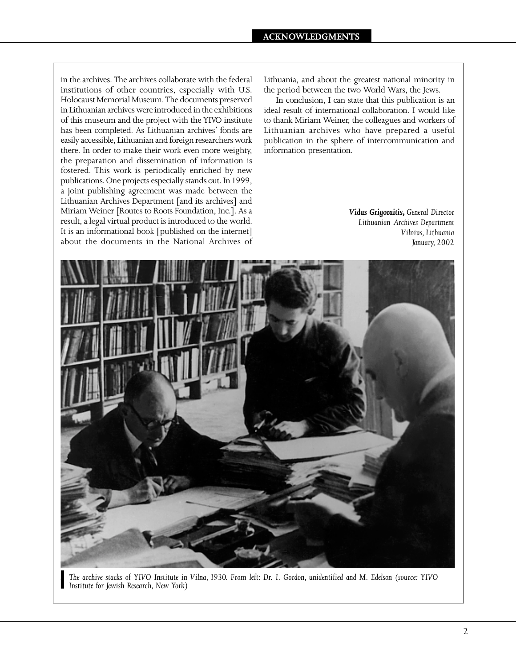in the archives. The archives collaborate with the federal institutions of other countries, especially with U.S. Holocaust Memorial Museum. The documents preserved in Lithuanian archives were introduced in the exhibitions of this museum and the project with the YIVO institute has been completed. As Lithuanian archives' fonds are easily accessible, Lithuanian and foreign researchers work there. In order to make their work even more weighty, the preparation and dissemination of information is fostered. This work is periodically enriched by new publications. One projects especially stands out. In 1999, a joint publishing agreement was made between the Lithuanian Archives Department [and its archives] and Miriam Weiner [Routes to Roots Foundation, Inc.]. As a result, a legal virtual product is introduced to the world. It is an informational book [published on the internet] about the documents in the National Archives of Lithuania, and about the greatest national minority in the period between the two World Wars, the Jews.

In conclusion, I can state that this publication is an ideal result of international collaboration. I would like to thank Miriam Weiner, the colleagues and workers of Lithuanian archives who have prepared a useful publication in the sphere of intercommunication and information presentation.

> *Vidas Grigoraitis, General Director Lithuanian Archives Department Vilnius, Lithuania January, 2002*



*` The archive stacks of YIVO Institute in Vilna, 1930. From left: Dr. I. Gordon, unidentified and M. Edelson (source: YIVO ` Institute for Jewish Research, New York)*